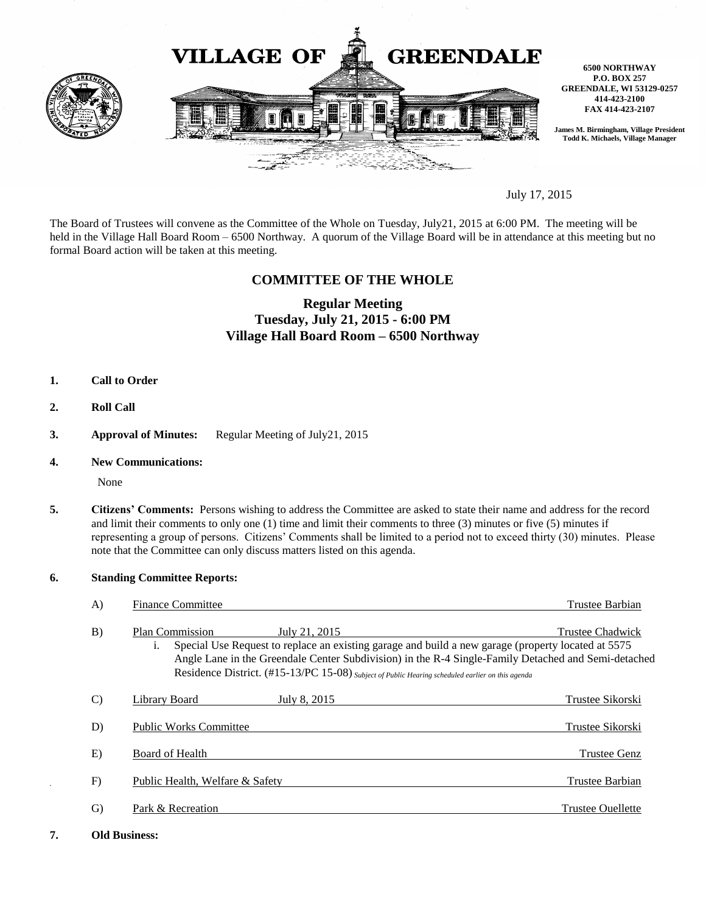

July 17, 2015

The Board of Trustees will convene as the Committee of the Whole on Tuesday, July21, 2015 at 6:00 PM. The meeting will be held in the Village Hall Board Room – 6500 Northway. A quorum of the Village Board will be in attendance at this meeting but no formal Board action will be taken at this meeting.

## **COMMITTEE OF THE WHOLE**

# **Regular Meeting Tuesday, July 21, 2015 - 6:00 PM Village Hall Board Room – 6500 Northway**

- **1. Call to Order**
- **2. Roll Call**
- **3. Approval of Minutes:** Regular Meeting of July21, 2015
- **4. New Communications:**

None

**5. Citizens' Comments:** Persons wishing to address the Committee are asked to state their name and address for the record and limit their comments to only one (1) time and limit their comments to three (3) minutes or five (5) minutes if representing a group of persons. Citizens' Comments shall be limited to a period not to exceed thirty (30) minutes. Please note that the Committee can only discuss matters listed on this agenda.

#### **6. Standing Committee Reports:**

| $\mathbf{A}$  | <b>Finance Committee</b>                                                                                                                                                                                                                                                                                                                                                   | Trustee Barbian         |
|---------------|----------------------------------------------------------------------------------------------------------------------------------------------------------------------------------------------------------------------------------------------------------------------------------------------------------------------------------------------------------------------------|-------------------------|
| B)            | <b>Plan Commission</b><br>July 21, 2015<br>Special Use Request to replace an existing garage and build a new garage (property located at 5575<br>$\mathbf{1}$ .<br>Angle Lane in the Greendale Center Subdivision) in the R-4 Single-Family Detached and Semi-detached<br>Residence District. (#15-13/PC 15-08) Subject of Public Hearing scheduled earlier on this agenda | <b>Trustee Chadwick</b> |
| $\mathcal{C}$ | Library Board<br>July 8, 2015                                                                                                                                                                                                                                                                                                                                              | Trustee Sikorski        |
| D)            | <b>Public Works Committee</b>                                                                                                                                                                                                                                                                                                                                              | Trustee Sikorski        |
| E)            | Board of Health                                                                                                                                                                                                                                                                                                                                                            | <b>Trustee Genz</b>     |
| F)            | Public Health, Welfare & Safety                                                                                                                                                                                                                                                                                                                                            | Trustee Barbian         |
| G)            | Park & Recreation                                                                                                                                                                                                                                                                                                                                                          | Trustee Ouellette       |
|               |                                                                                                                                                                                                                                                                                                                                                                            |                         |

**7. Old Business:**